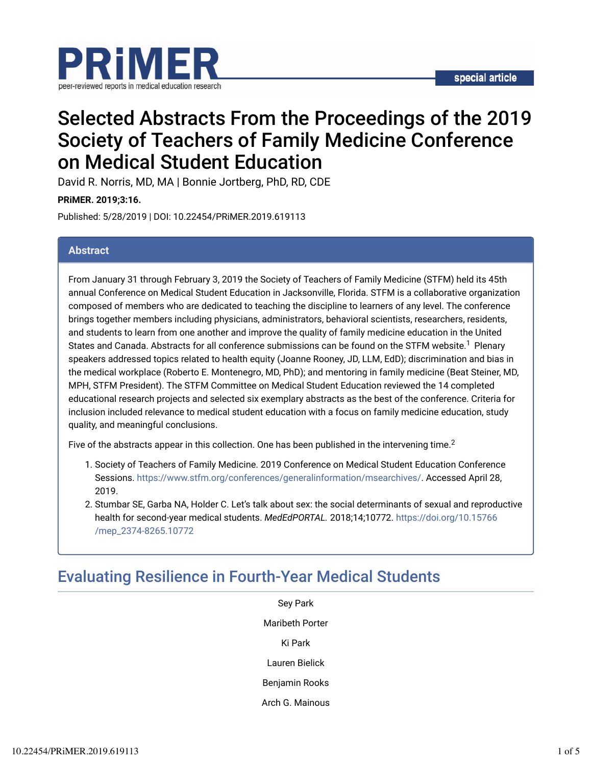

# Selected Abstracts From the Proceedings of the 2019 Society of Teachers of Family Medicine Conference on Medical Student Education

David R. Norris, MD, MA | Bonnie Jortberg, PhD, RD, CDE

**PRiMER. 2019;3:16.**

Published: 5/28/2019 | DOI: 10.22454/PRiMER.2019.619113

### **Abstract**

From January 31 through February 3, 2019 the Society of Teachers of Family Medicine (STFM) held its 45th annual Conference on Medical Student Education in Jacksonville, Florida. STFM is a collaborative organization composed of members who are dedicated to teaching the discipline to learners of any level. The conference brings together members including physicians, administrators, behavioral scientists, researchers, residents, and students to learn from one another and improve the quality of family medicine education in the United States and Canada. Abstracts for all conference submissions can be found on the STFM website.<sup>1</sup> Plenary speakers addressed topics related to health equity (Joanne Rooney, JD, LLM, EdD); discrimination and bias in the medical workplace (Roberto E. Montenegro, MD, PhD); and mentoring in family medicine (Beat Steiner, MD, MPH, STFM President). The STFM Committee on Medical Student Education reviewed the 14 completed educational research projects and selected six exemplary abstracts as the best of the conference. Criteria for inclusion included relevance to medical student education with a focus on family medicine education, study quality, and meaningful conclusions.

Five of the abstracts appear in this collection. One has been published in the intervening time.<sup>2</sup>

- 1. Society of Teachers of Family Medicine. 2019 Conference on Medical Student Education Conference Sessions. https://www.stfm.org/conferences/generalinformation/msearchives/. Accessed April 28, 2019.
- 2. Stumbar SE, Garba NA, Holder C. Let's talk about sex: the social determinants of sexual and reproductive health for second-year medical students. *MedEdPORTAL.* 2018;14;10772. https://doi.org/10.15766 /mep\_2374-8265.10772

# Evaluating Resilience in Fourth-Year Medical Students

Sey Park Maribeth Porter Ki Park Lauren Bielick Benjamin Rooks Arch G. Mainous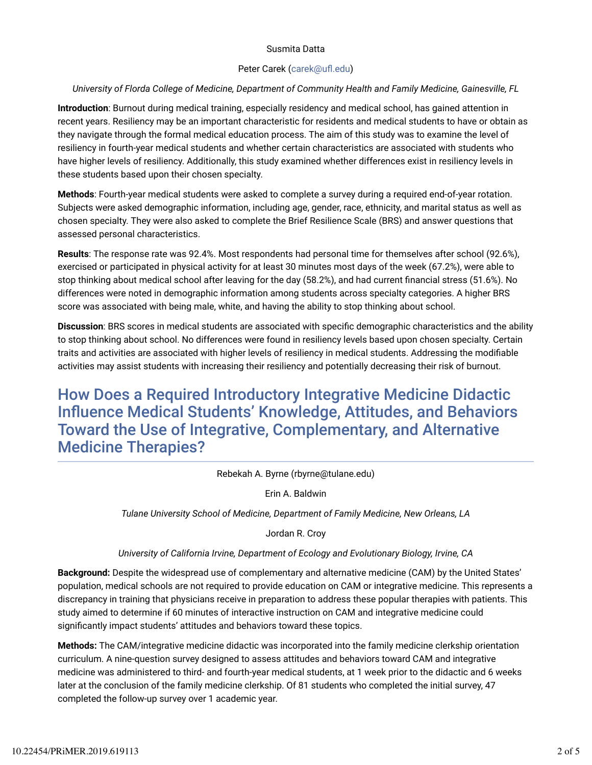#### Susmita Datta

#### Peter Carek (carek@ufl.edu)

### *University of Florda College of Medicine, Department of Community Health and Family Medicine, Gainesville, FL*

**Introduction**: Burnout during medical training, especially residency and medical school, has gained attention in recent years. Resiliency may be an important characteristic for residents and medical students to have or obtain as they navigate through the formal medical education process. The aim of this study was to examine the level of resiliency in fourth-year medical students and whether certain characteristics are associated with students who have higher levels of resiliency. Additionally, this study examined whether differences exist in resiliency levels in these students based upon their chosen specialty.

**Methods**: Fourth-year medical students were asked to complete a survey during a required end-of-year rotation. Subjects were asked demographic information, including age, gender, race, ethnicity, and marital status as well as chosen specialty. They were also asked to complete the Brief Resilience Scale (BRS) and answer questions that assessed personal characteristics.

**Results**: The response rate was 92.4%. Most respondents had personal time for themselves after school (92.6%), exercised or participated in physical activity for at least 30 minutes most days of the week (67.2%), were able to stop thinking about medical school after leaving for the day (58.2%), and had current financial stress (51.6%). No differences were noted in demographic information among students across specialty categories. A higher BRS score was associated with being male, white, and having the ability to stop thinking about school.

**Discussion**: BRS scores in medical students are associated with specific demographic characteristics and the ability to stop thinking about school. No differences were found in resiliency levels based upon chosen specialty. Certain traits and activities are associated with higher levels of resiliency in medical students. Addressing the modifiable activities may assist students with increasing their resiliency and potentially decreasing their risk of burnout.

# How Does a Required Introductory Integrative Medicine Didactic Influence Medical Students' Knowledge, Attitudes, and Behaviors Toward the Use of Integrative, Complementary, and Alternative Medicine Therapies?

Rebekah A. Byrne (rbyrne@tulane.edu)

Erin A. Baldwin

*Tulane University School of Medicine, Department of Family Medicine, New Orleans, LA*

Jordan R. Croy

### *University of California Irvine, Department of Ecology and Evolutionary Biology, Irvine, CA*

**Background:** Despite the widespread use of complementary and alternative medicine (CAM) by the United States' population, medical schools are not required to provide education on CAM or integrative medicine. This represents a discrepancy in training that physicians receive in preparation to address these popular therapies with patients. This study aimed to determine if 60 minutes of interactive instruction on CAM and integrative medicine could significantly impact students' attitudes and behaviors toward these topics.

**Methods:** The CAM/integrative medicine didactic was incorporated into the family medicine clerkship orientation curriculum. A nine-question survey designed to assess attitudes and behaviors toward CAM and integrative medicine was administered to third- and fourth-year medical students, at 1 week prior to the didactic and 6 weeks later at the conclusion of the family medicine clerkship. Of 81 students who completed the initial survey, 47 completed the follow-up survey over 1 academic year.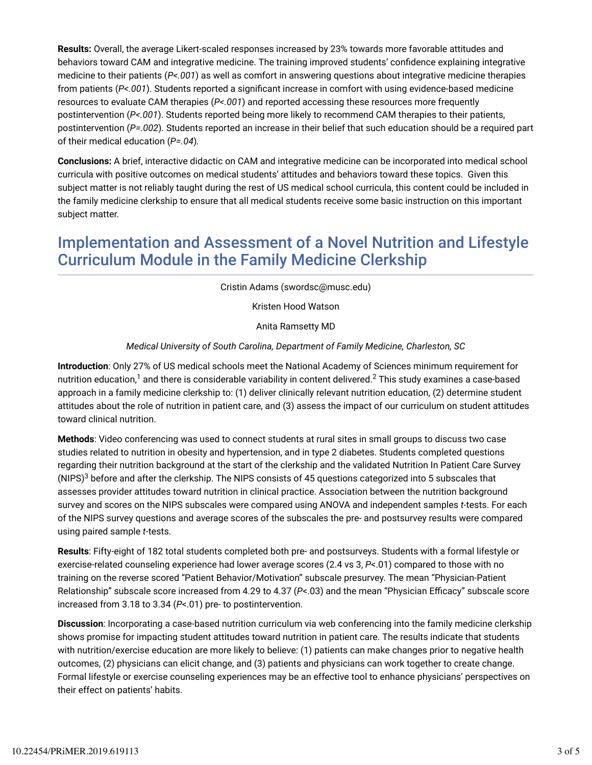**Results:** Overall, the average Likert-scaled responses increased by 23% towards more favorable attitudes and behaviors toward CAM and integrative medicine. The training improved students' confidence explaining integrative medicine to their patients (*P<.001*) as well as comfort in answering questions about integrative medicine therapies from patients (*P<.001*). Students reported a signiicant increase in comfort with using evidence-based medicine resources to evaluate CAM therapies (*P<.001*) and reported accessing these resources more frequently postintervention (*P<.001*). Students reported being more likely to recommend CAM therapies to their patients, postintervention (*P=.002*)*.* Students reported an increase in their belief that such education should be a required part of their medical education (*P=.04*)*.*

**Conclusions:** A brief, interactive didactic on CAM and integrative medicine can be incorporated into medical school curricula with positive outcomes on medical students' attitudes and behaviors toward these topics. Given this subject matter is not reliably taught during the rest of US medical school curricula, this content could be included in the family medicine clerkship to ensure that all medical students receive some basic instruction on this important subject matter.

# Implementation and Assessment of a Novel Nutrition and Lifestyle Curriculum Module in the Family Medicine Clerkship

Cristin Adams (swordsc@musc.edu)

Kristen Hood Watson

Anita Ramsetty MD

### *Medical University of South Carolina, Department of Family Medicine, Charleston, SC*

**Introduction**: Only 27% of US medical schools meet the National Academy of Sciences minimum requirement for nutrition education, $^1$  and there is considerable variability in content delivered. $^2$  This study examines a case-based approach in a family medicine clerkship to: (1) deliver clinically relevant nutrition education, (2) determine student attitudes about the role of nutrition in patient care, and (3) assess the impact of our curriculum on student attitudes toward clinical nutrition.

**Methods**: Video conferencing was used to connect students at rural sites in small groups to discuss two case studies related to nutrition in obesity and hypertension, and in type 2 diabetes. Students completed questions regarding their nutrition background at the start of the clerkship and the validated Nutrition In Patient Care Survey (NIPS) $3$  before and after the clerkship. The NIPS consists of 45 questions categorized into 5 subscales that assesses provider attitudes toward nutrition in clinical practice. Association between the nutrition background survey and scores on the NIPS subscales were compared using ANOVA and independent samples *t*-tests. For each of the NIPS survey questions and average scores of the subscales the pre- and postsurvey results were compared using paired sample *t*-tests.

**Results**: Fifty-eight of 182 total students completed both pre- and postsurveys. Students with a formal lifestyle or exercise-related counseling experience had lower average scores (2.4 vs 3, *P*<.01) compared to those with no training on the reverse scored "Patient Behavior/Motivation" subscale presurvey. The mean "Physician-Patient Relationship" subscale score increased from 4.29 to 4.37 (P<.03) and the mean "Physician Efficacy" subscale score increased from 3.18 to 3.34 (*P*<.01) pre- to postintervention.

**Discussion**: Incorporating a case-based nutrition curriculum via web conferencing into the family medicine clerkship shows promise for impacting student attitudes toward nutrition in patient care. The results indicate that students with nutrition/exercise education are more likely to believe: (1) patients can make changes prior to negative health outcomes, (2) physicians can elicit change, and (3) patients and physicians can work together to create change. Formal lifestyle or exercise counseling experiences may be an effective tool to enhance physicians' perspectives on their effect on patients' habits.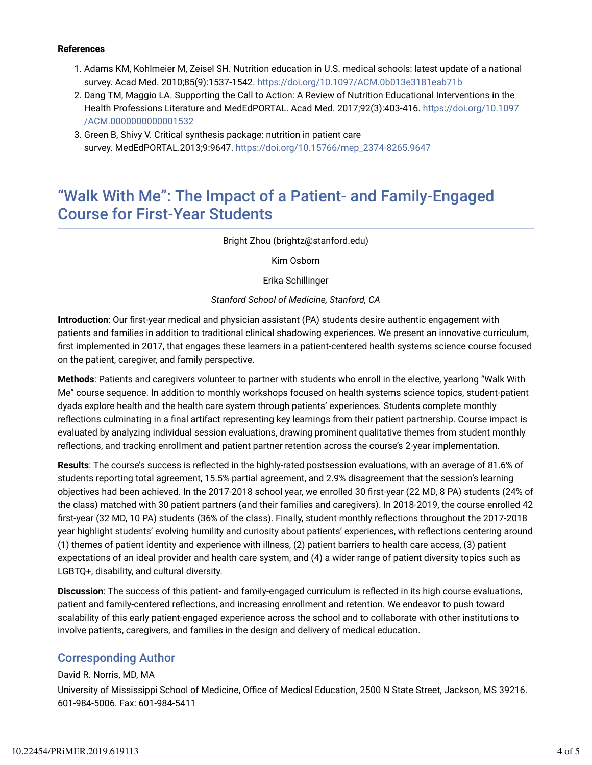#### **References**

- 1. Adams KM, Kohlmeier M, Zeisel SH. Nutrition education in U.S. medical schools: latest update of a national survey. Acad Med. 2010;85(9):1537-1542. https://doi.org/10.1097/ACM.0b013e3181eab71b
- 2. Dang TM, Maggio LA. Supporting the Call to Action: A Review of Nutrition Educational Interventions in the Health Professions Literature and MedEdPORTAL. Acad Med. 2017;92(3):403-416. https://doi.org/10.1097 /ACM.0000000000001532
- 3. Green B, Shivy V. Critical synthesis package: nutrition in patient care survey. MedEdPORTAL.2013;9:9647. https://doi.org/10.15766/mep\_2374-8265.9647

### "Walk With Me": The Impact of a Patient- and Family-Engaged Course for First-Year Students

Bright Zhou (brightz@stanford.edu)

Kim Osborn

Erika Schillinger

### *Stanford School of Medicine, Stanford, CA*

**Introduction**: Our first-year medical and physician assistant (PA) students desire authentic engagement with patients and families in addition to traditional clinical shadowing experiences. We present an innovative curriculum, first implemented in 2017, that engages these learners in a patient-centered health systems science course focused on the patient, caregiver, and family perspective.

**Methods**: Patients and caregivers volunteer to partner with students who enroll in the elective, yearlong "Walk With Me" course sequence. In addition to monthly workshops focused on health systems science topics, student-patient dyads explore health and the health care system through patients' experiences*.* Students complete monthly reflections culminating in a final artifact representing key learnings from their patient partnership. Course impact is evaluated by analyzing individual session evaluations, drawing prominent qualitative themes from student monthly reflections, and tracking enrollment and patient partner retention across the course's 2-year implementation.

Results: The course's success is reflected in the highly-rated postsession evaluations, with an average of 81.6% of students reporting total agreement, 15.5% partial agreement, and 2.9% disagreement that the session's learning objectives had been achieved. In the 2017-2018 school year, we enrolled 30 first-year (22 MD, 8 PA) students (24% of the class) matched with 30 patient partners (and their families and caregivers). In 2018-2019, the course enrolled 42 first-year (32 MD, 10 PA) students (36% of the class). Finally, student monthly reflections throughout the 2017-2018 year highlight students' evolving humility and curiosity about patients' experiences, with reflections centering around (1) themes of patient identity and experience with illness, (2) patient barriers to health care access, (3) patient expectations of an ideal provider and health care system, and (4) a wider range of patient diversity topics such as LGBTQ+, disability, and cultural diversity.

**Discussion**: The success of this patient- and family-engaged curriculum is reflected in its high course evaluations, patient and family-centered reflections, and increasing enrollment and retention. We endeavor to push toward scalability of this early patient-engaged experience across the school and to collaborate with other institutions to involve patients, caregivers, and families in the design and delivery of medical education.

### Corresponding Author

### David R. Norris, MD, MA

University of Mississippi School of Medicine, Office of Medical Education, 2500 N State Street, Jackson, MS 39216. 601-984-5006. Fax: 601-984-5411